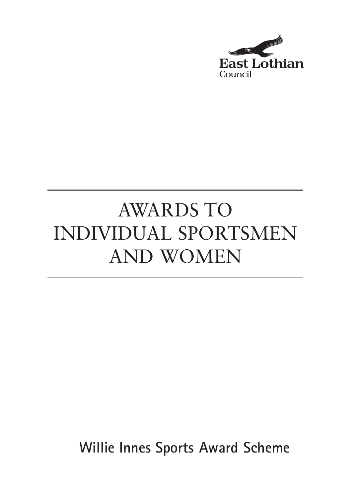

# AWARDS TO INDIVIDUAL SPORTSMEN AND WOMEN

**Willie Innes Sports Award Scheme**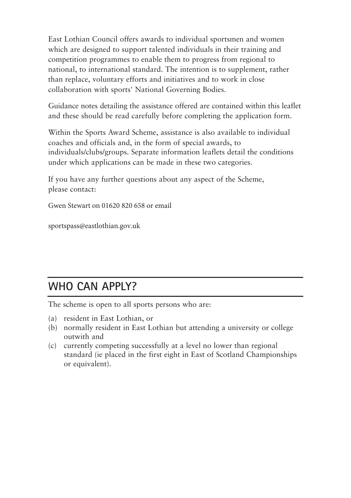East Lothian Council offers awards to individual sportsmen and women which are designed to support talented individuals in their training and competition programmes to enable them to progress from regional to national, to international standard. The intention is to supplement, rather than replace, voluntary efforts and initiatives and to work in close collaboration with sports' National Governing Bodies.

Guidance notes detailing the assistance offered are contained within this leaflet and these should be read carefully before completing the application form.

Within the Sports Award Scheme, assistance is also available to individual coaches and officials and, in the form of special awards, to individuals/clubs/groups. Separate information leaflets detail the conditions under which applications can be made in these two categories.

If you have any further questions about any aspect of the Scheme, please contact:

Gwen Stewart on 01620 820 658 or email

sportspass@eastlothian.gov.uk

### **WHO CAN APPLY?**

The scheme is open to all sports persons who are:

- (a) resident in East Lothian, or
- (b) normally resident in East Lothian but attending a university or college outwith and
- (c) currently competing successfully at a level no lower than regional standard (ie placed in the first eight in East of Scotland Championships or equivalent).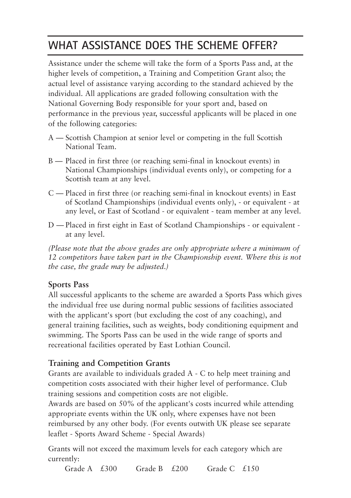## **WHAT ASSISTANCE DOES THE SCHEME OFFER?**

Assistance under the scheme will take the form of a Sports Pass and, at the higher levels of competition, a Training and Competition Grant also; the actual level of assistance varying according to the standard achieved by the individual. All applications are graded following consultation with the National Governing Body responsible for your sport and, based on performance in the previous year, successful applicants will be placed in one of the following categories:

- A Scottish Champion at senior level or competing in the full Scottish National Team.
- B Placed in first three (or reaching semi-final in knockout events) in National Championships (individual events only), or competing for a Scottish team at any level.
- C Placed in first three (or reaching semi-final in knockout events) in East of Scotland Championships (individual events only), - or equivalent - at any level, or East of Scotland - or equivalent - team member at any level.
- D Placed in first eight in East of Scotland Championships or equivalent at any level.

*(Please note that the above grades are only appropriate where a minimum of 12 competitors have taken part in the Championship event. Where this is not the case, the grade may be adjusted.)*

#### **Sports Pass**

All successful applicants to the scheme are awarded a Sports Pass which gives the individual free use during normal public sessions of facilities associated with the applicant's sport (but excluding the cost of any coaching), and general training facilities, such as weights, body conditioning equipment and swimming. The Sports Pass can be used in the wide range of sports and recreational facilities operated by East Lothian Council.

#### **Training and Competition Grants**

Grants are available to individuals graded A - C to help meet training and competition costs associated with their higher level of performance. Club training sessions and competition costs are not eligible.

Awards are based on 50% of the applicant's costs incurred while attending appropriate events within the UK only, where expenses have not been reimbursed by any other body. (For events outwith UK please see separate leaflet - Sports Award Scheme - Special Awards)

Grants will not exceed the maximum levels for each category which are currently:

Grade A  $£300$  Grade B  $£200$  Grade C  $£150$